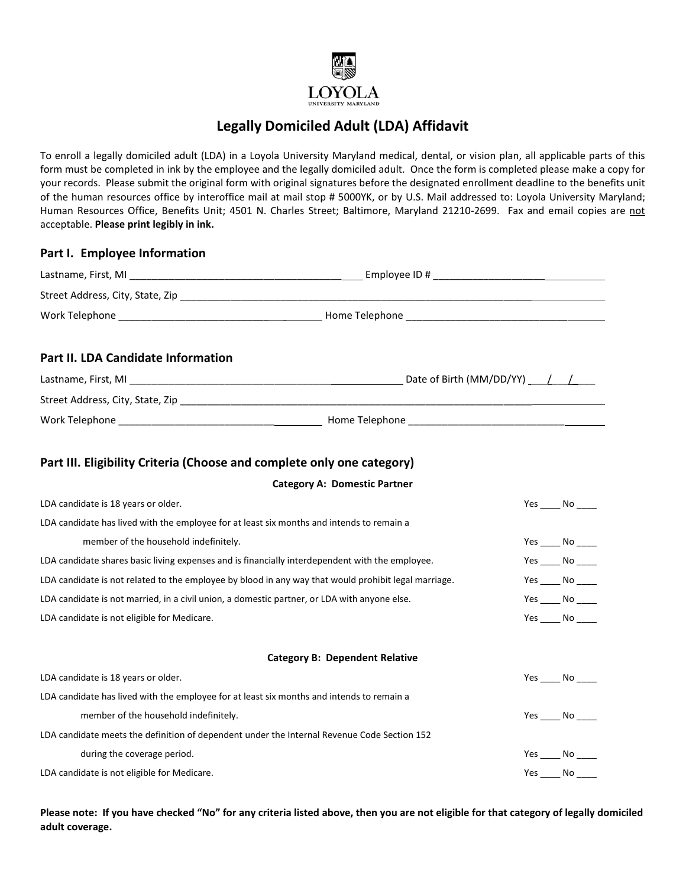

## **Legally Domiciled Adult (LDA) Affidavit**

To enroll a legally domiciled adult (LDA) in a Loyola University Maryland medical, dental, or vision plan, all applicable parts of this form must be completed in ink by the employee and the legally domiciled adult. Once the form is completed please make a copy for your records. Please submit the original form with original signatures before the designated enrollment deadline to the benefits unit of the human resources office by interoffice mail at mail stop # 5000YK, or by U.S. Mail addressed to: Loyola University Maryland; Human Resources Office, Benefits Unit; 4501 N. Charles Street; Baltimore, Maryland 21210-2699. Fax and email copies are not acceptable. **Please print legibly in ink.**

| Part I. Employee Information                                                                         |                                       |                                                    |
|------------------------------------------------------------------------------------------------------|---------------------------------------|----------------------------------------------------|
|                                                                                                      |                                       |                                                    |
|                                                                                                      |                                       |                                                    |
|                                                                                                      |                                       |                                                    |
| Part II. LDA Candidate Information                                                                   |                                       |                                                    |
|                                                                                                      |                                       |                                                    |
|                                                                                                      |                                       |                                                    |
|                                                                                                      |                                       |                                                    |
| Part III. Eligibility Criteria (Choose and complete only one category)                               |                                       |                                                    |
|                                                                                                      | <b>Category A: Domestic Partner</b>   |                                                    |
| LDA candidate is 18 years or older.                                                                  |                                       | Yes $\rule{1em}{0.15mm}$ No $\rule{1.5mm}{0.15mm}$ |
| LDA candidate has lived with the employee for at least six months and intends to remain a            |                                       |                                                    |
| member of the household indefinitely.                                                                |                                       | Yes $\_\_$ No $\_\_$                               |
| LDA candidate shares basic living expenses and is financially interdependent with the employee.      |                                       | $Yes$ No _______                                   |
| LDA candidate is not related to the employee by blood in any way that would prohibit legal marriage. |                                       | $Yes$ No ______                                    |
| LDA candidate is not married, in a civil union, a domestic partner, or LDA with anyone else.         |                                       | $Yes$ No ______                                    |
| LDA candidate is not eligible for Medicare.                                                          |                                       | Yes $\rule{1em}{0.15mm}$ No $\rule{1.5mm}{0.15mm}$ |
|                                                                                                      | <b>Category B: Dependent Relative</b> |                                                    |
| LDA candidate is 18 years or older.                                                                  |                                       | Yes $\rule{1em}{0.15mm}$ No $\rule{1em}{0.15mm}$   |
| LDA candidate has lived with the employee for at least six months and intends to remain a            |                                       |                                                    |
| member of the household indefinitely.                                                                |                                       | $Yes$ No $\_\_$                                    |
| LDA candidate meets the definition of dependent under the Internal Revenue Code Section 152          |                                       |                                                    |
| during the coverage period.                                                                          |                                       | $Yes$ No ______                                    |
| LDA candidate is not eligible for Medicare.                                                          |                                       | $Yes$ No ______                                    |

**Please note: If you have checked "No" for any criteria listed above, then you are not eligible for that category of legally domiciled adult coverage.**